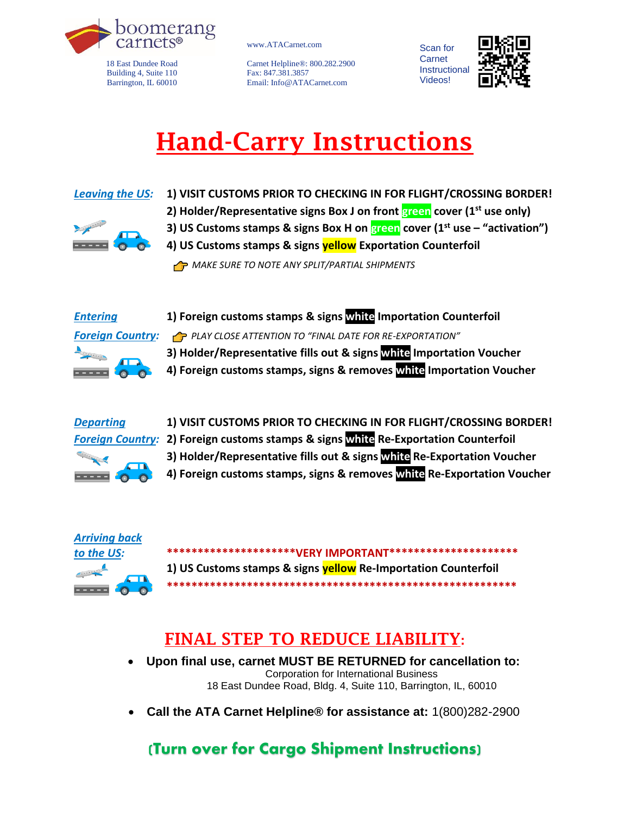

18 East Dundee Road Building 4, Suite 110 Barrington, IL 60010 www.ATACarnet.com

Carnet Helpline®: 800.282.2900 Fax: 847.381.3857 Email: Info@ATACarnet.com



# Hand-Carry Instructions



- *Leaving the US:* **1) VISIT CUSTOMS PRIOR TO CHECKING IN FOR FLIGHT/CROSSING BORDER! 2) Holder/Representative signs Box J on front green cover (1st use only) 3) US Customs stamps & signs Box H on green cover (1st use – "activation")**
	- **4) US Customs stamps & signs yellow Exportation Counterfoil**

*C* MAKE SURE TO NOTE ANY SPLIT/PARTIAL SHIPMENTS



*Entering* **1) Foreign customs stamps & signs white Importation Counterfoil** *Foreign Country: PLAY CLOSE ATTENTION TO "FINAL DATE FOR RE-EXPORTATION"* **3) Holder/Representative fills out & signs white Importation Voucher 4) Foreign customs stamps, signs & removes white Importation Voucher**







*to the US:* **\*\*\*\*\*\*\*\*\*\*\*\*\*\*\*\*\*\*\*\*\*VERY IMPORTANT\*\*\*\*\*\*\*\*\*\*\*\*\*\*\*\*\*\*\*\*\* 1) US Customs stamps & signs yellow Re-Importation Counterfoil \*\*\*\*\*\*\*\*\*\*\*\*\*\*\*\*\*\*\*\*\*\*\*\*\*\*\*\*\*\*\*\*\*\*\*\*\*\*\*\*\*\*\*\*\*\*\*\*\*\*\*\*\*\*\*\*\***

## FINAL STEP TO REDUCE LIABILITY:

- **Upon final use, carnet MUST BE RETURNED for cancellation to:** Corporation for International Business 18 East Dundee Road, Bldg. 4, Suite 110, Barrington, IL, 60010
- **Call the ATA Carnet Helpline® for assistance at:** 1(800)282-2900

### (Turn over for Cargo Shipment Instructions)